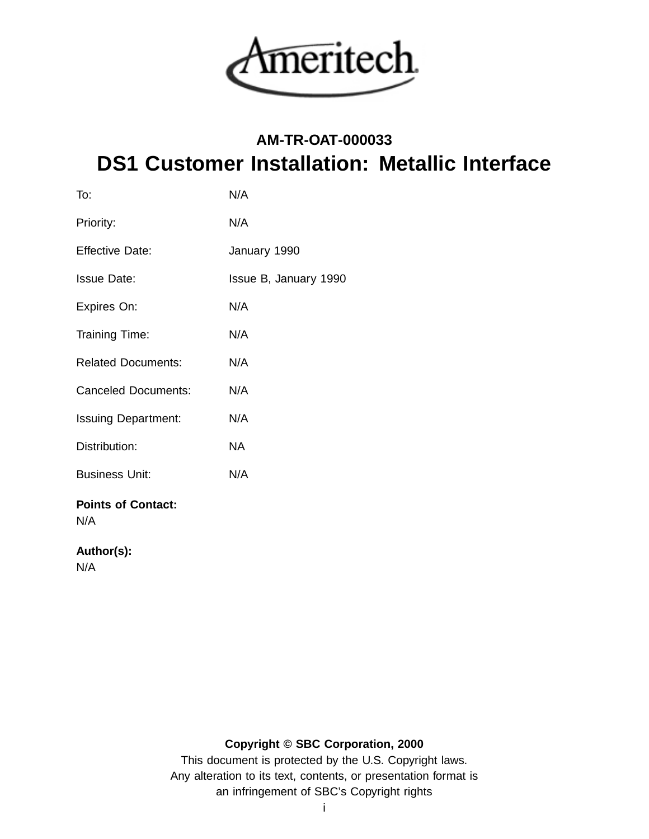

# **AM-TR-OAT-000033 DS1 Customer Installation: Metallic Interface**

| To:                              | N/A                   |
|----------------------------------|-----------------------|
| Priority:                        | N/A                   |
| <b>Effective Date:</b>           | January 1990          |
| <b>Issue Date:</b>               | Issue B, January 1990 |
| Expires On:                      | N/A                   |
| Training Time:                   | N/A                   |
| <b>Related Documents:</b>        | N/A                   |
| <b>Canceled Documents:</b>       | N/A                   |
| <b>Issuing Department:</b>       | N/A                   |
| Distribution:                    | NA.                   |
| <b>Business Unit:</b>            | N/A                   |
| <b>Points of Contact:</b><br>N/A |                       |

**Author(s):**

N/A

### **Copyright © SBC Corporation, 2000**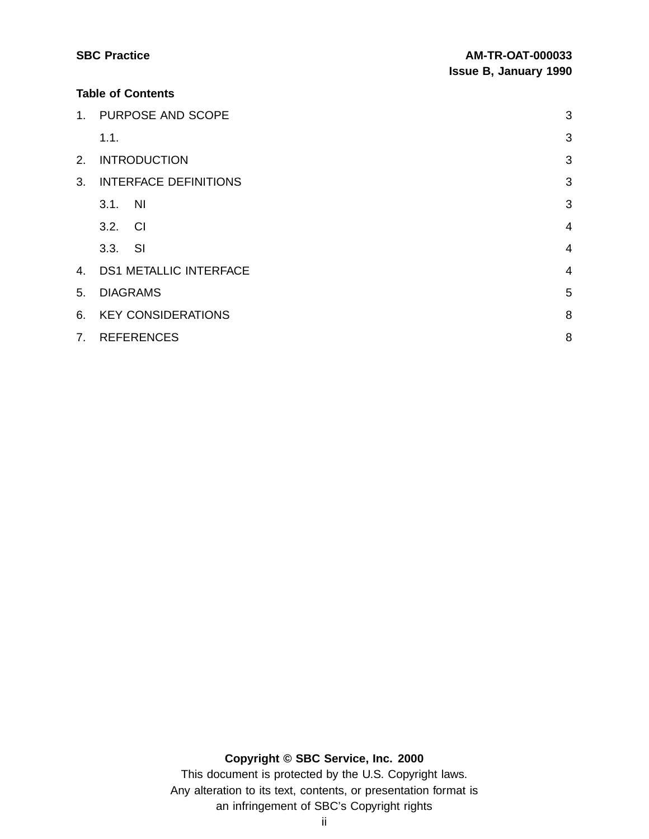## **Table of Contents**

| 1. | PURPOSE AND SCOPE             | 3              |
|----|-------------------------------|----------------|
|    | 1.1.                          | 3              |
| 2. | <b>INTRODUCTION</b>           | 3              |
| 3. | <b>INTERFACE DEFINITIONS</b>  | 3              |
|    | <b>NI</b><br>3.1.             | 3              |
|    | 3.2.<br>- CI                  | $\overline{4}$ |
|    | $3.3.$ SI                     | $\overline{4}$ |
| 4. | <b>DS1 METALLIC INTERFACE</b> | $\overline{4}$ |
| 5. | <b>DIAGRAMS</b>               | 5              |
|    | 6. KEY CONSIDERATIONS         | 8              |
| 7. | <b>REFERENCES</b>             | 8              |

# **Copyright © SBC Service, Inc. 2000**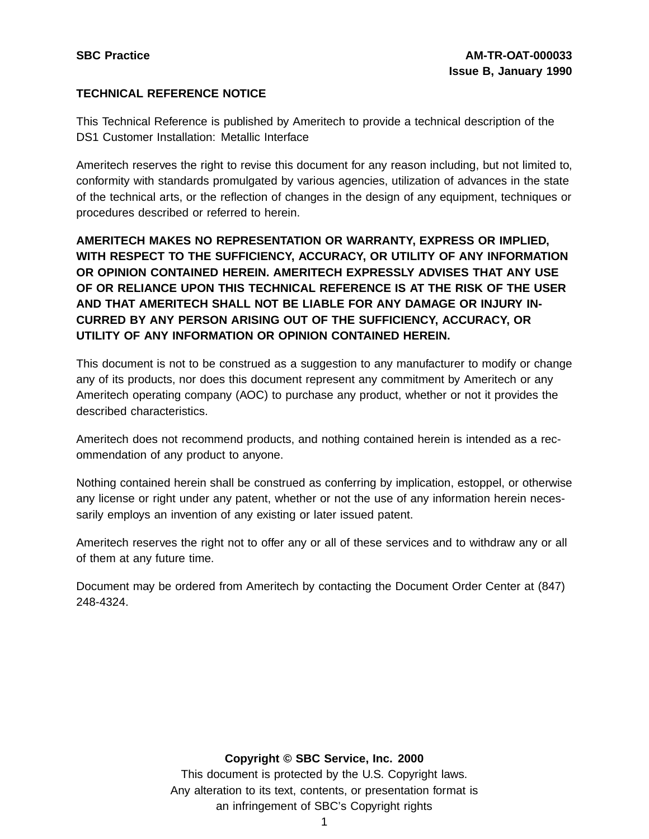## **TECHNICAL REFERENCE NOTICE**

This Technical Reference is published by Ameritech to provide a technical description of the DS1 Customer Installation: Metallic Interface

Ameritech reserves the right to revise this document for any reason including, but not limited to, conformity with standards promulgated by various agencies, utilization of advances in the state of the technical arts, or the reflection of changes in the design of any equipment, techniques or procedures described or referred to herein.

**AMERITECH MAKES NO REPRESENTATION OR WARRANTY, EXPRESS OR IMPLIED, WITH RESPECT TO THE SUFFICIENCY, ACCURACY, OR UTILITY OF ANY INFORMATION OR OPINION CONTAINED HEREIN. AMERITECH EXPRESSLY ADVISES THAT ANY USE OF OR RELIANCE UPON THIS TECHNICAL REFERENCE IS AT THE RISK OF THE USER AND THAT AMERITECH SHALL NOT BE LIABLE FOR ANY DAMAGE OR INJURY IN-CURRED BY ANY PERSON ARISING OUT OF THE SUFFICIENCY, ACCURACY, OR UTILITY OF ANY INFORMATION OR OPINION CONTAINED HEREIN.**

This document is not to be construed as a suggestion to any manufacturer to modify or change any of its products, nor does this document represent any commitment by Ameritech or any Ameritech operating company (AOC) to purchase any product, whether or not it provides the described characteristics.

Ameritech does not recommend products, and nothing contained herein is intended as a recommendation of any product to anyone.

Nothing contained herein shall be construed as conferring by implication, estoppel, or otherwise any license or right under any patent, whether or not the use of any information herein necessarily employs an invention of any existing or later issued patent.

Ameritech reserves the right not to offer any or all of these services and to withdraw any or all of them at any future time.

Document may be ordered from Ameritech by contacting the Document Order Center at (847) 248-4324.

#### **Copyright © SBC Service, Inc. 2000**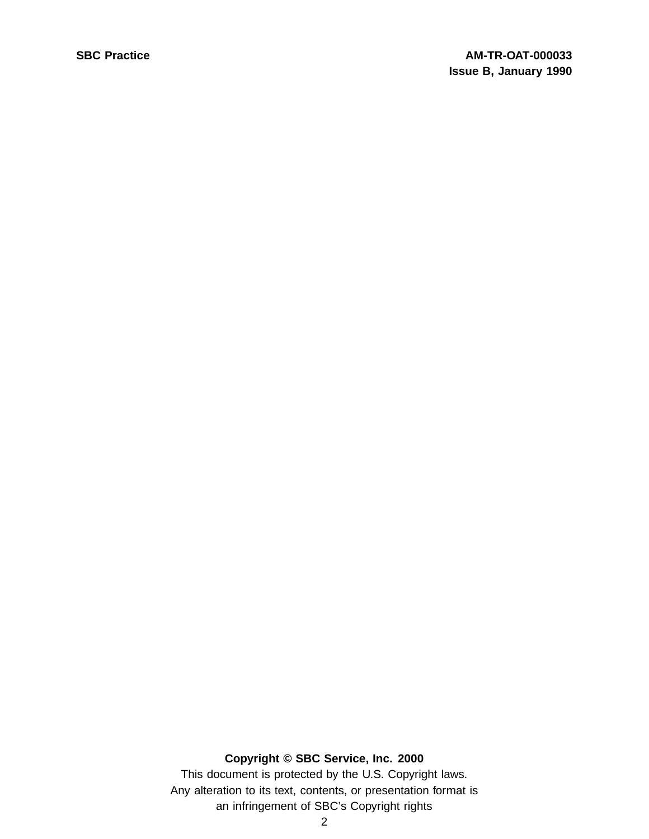## **Copyright © SBC Service, Inc. 2000**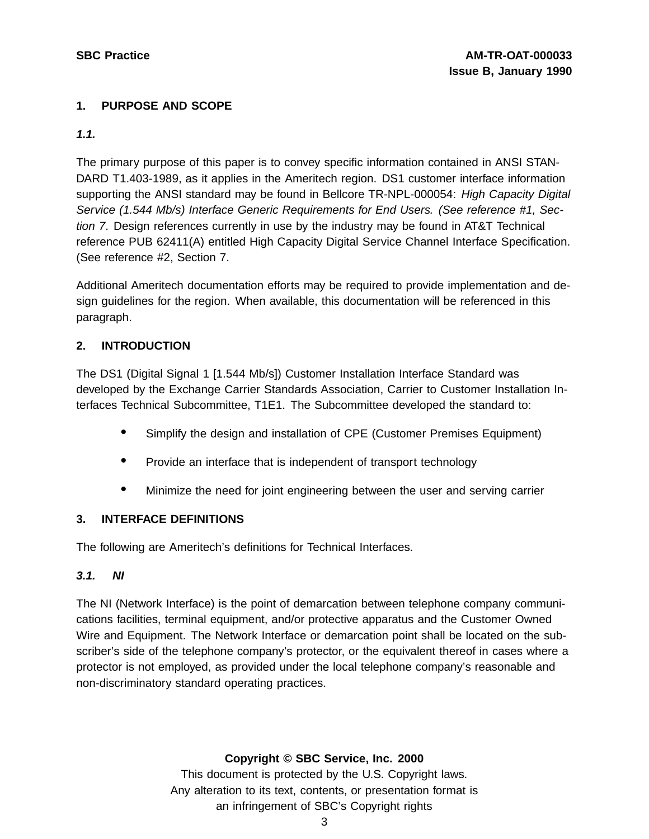## **1. PURPOSE AND SCOPE**

## **1.1.**

The primary purpose of this paper is to convey specific information contained in ANSI STAN-DARD T1.403-1989, as it applies in the Ameritech region. DS1 customer interface information supporting the ANSI standard may be found in Bellcore TR-NPL-000054: *High Capacity Digital* Service (1.544 Mb/s) Interface Generic Requirements for End Users. (See reference #1, Section 7. Design references currently in use by the industry may be found in AT&T Technical reference PUB 62411(A) entitled High Capacity Digital Service Channel Interface Specification. (See reference #2, Section 7.

Additional Ameritech documentation efforts may be required to provide implementation and design guidelines for the region. When available, this documentation will be referenced in this paragraph.

## **2. INTRODUCTION**

The DS1 (Digital Signal 1 [1.544 Mb/s]) Customer Installation Interface Standard was developed by the Exchange Carrier Standards Association, Carrier to Customer Installation Interfaces Technical Subcommittee, T1E1. The Subcommittee developed the standard to:

- Simplify the design and installation of CPE (Customer Premises Equipment)
- Provide an interface that is independent of transport technology
- Minimize the need for joint engineering between the user and serving carrier

## **3. INTERFACE DEFINITIONS**

The following are Ameritech's definitions for Technical Interfaces.

### **3.1. NI**

The NI (Network Interface) is the point of demarcation between telephone company communications facilities, terminal equipment, and/or protective apparatus and the Customer Owned Wire and Equipment. The Network Interface or demarcation point shall be located on the subscriber's side of the telephone company's protector, or the equivalent thereof in cases where a protector is not employed, as provided under the local telephone company's reasonable and non-discriminatory standard operating practices.

### **Copyright © SBC Service, Inc. 2000**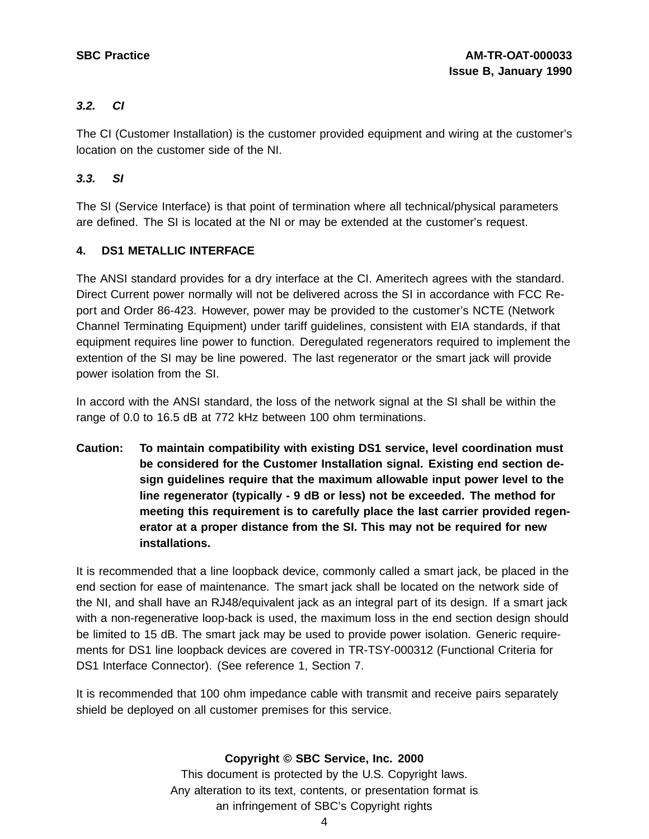## **3.2. CI**

The CI (Customer Installation) is the customer provided equipment and wiring at the customer's location on the customer side of the NI.

## **3.3. SI**

The SI (Service Interface) is that point of termination where all technical/physical parameters are defined. The SI is located at the NI or may be extended at the customer's request.

## **4. DS1 METALLIC INTERFACE**

The ANSI standard provides for a dry interface at the CI. Ameritech agrees with the standard. Direct Current power normally will not be delivered across the SI in accordance with FCC Report and Order 86-423. However, power may be provided to the customer's NCTE (Network Channel Terminating Equipment) under tariff guidelines, consistent with EIA standards, if that equipment requires line power to function. Deregulated regenerators required to implement the extention of the SI may be line powered. The last regenerator or the smart jack will provide power isolation from the SI.

In accord with the ANSI standard, the loss of the network signal at the SI shall be within the range of 0.0 to 16.5 dB at 772 kHz between 100 ohm terminations.

**Caution: To maintain compatibility with existing DS1 service, level coordination must be considered for the Customer Installation signal. Existing end section design guidelines require that the maximum allowable input power level to the line regenerator (typically - 9 dB or less) not be exceeded. The method for meeting this requirement is to carefully place the last carrier provided regenerator at a proper distance from the SI. This may not be required for new installations.**

It is recommended that a line loopback device, commonly called a smart jack, be placed in the end section for ease of maintenance. The smart jack shall be located on the network side of the NI, and shall have an RJ48/equivalent jack as an integral part of its design. If a smart jack with a non-regenerative loop-back is used, the maximum loss in the end section design should be limited to 15 dB. The smart jack may be used to provide power isolation. Generic requirements for DS1 line loopback devices are covered in TR-TSY-000312 (Functional Criteria for DS1 Interface Connector). (See reference 1, Section 7.

It is recommended that 100 ohm impedance cable with transmit and receive pairs separately shield be deployed on all customer premises for this service.

**Copyright © SBC Service, Inc. 2000**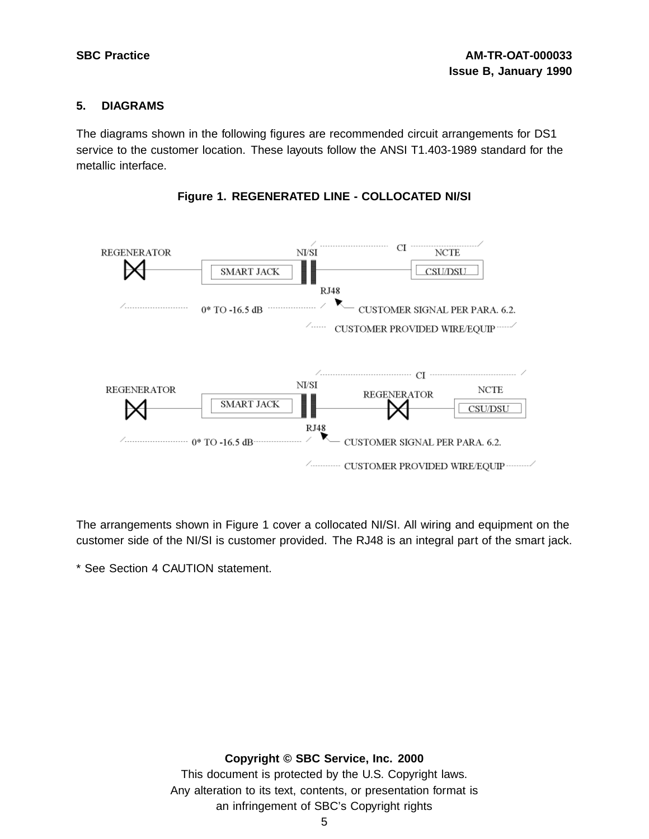### **5. DIAGRAMS**

The diagrams shown in the following figures are recommended circuit arrangements for DS1 service to the customer location. These layouts follow the ANSI T1.403-1989 standard for the metallic interface.



**Figure 1. REGENERATED LINE - COLLOCATED NI/SI**

The arrangements shown in Figure 1 cover a collocated NI/SI. All wiring and equipment on the customer side of the NI/SI is customer provided. The RJ48 is an integral part of the smart jack.

\* See Section 4 CAUTION statement.

### **Copyright © SBC Service, Inc. 2000**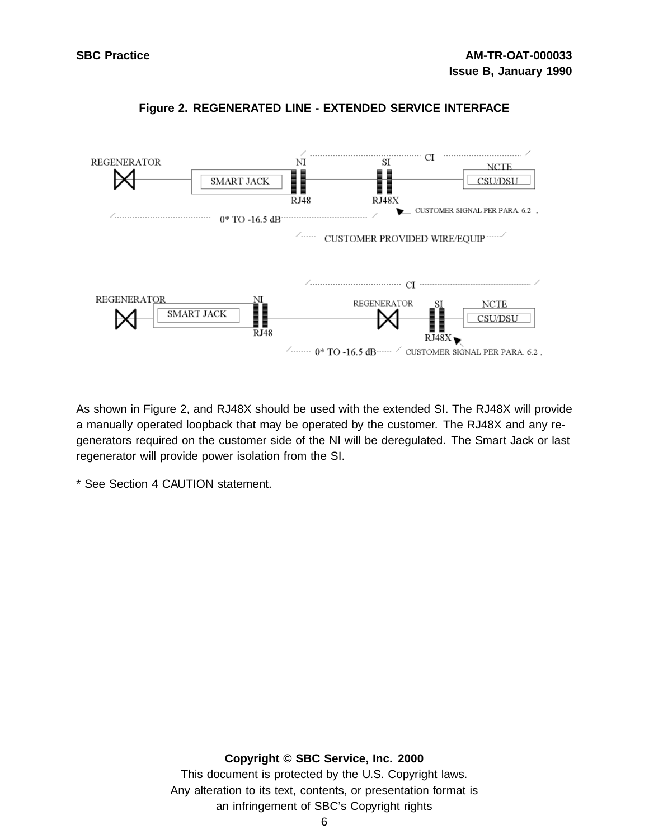

## **Figure 2. REGENERATED LINE - EXTENDED SERVICE INTERFACE**

As shown in Figure 2, and RJ48X should be used with the extended SI. The RJ48X will provide a manually operated loopback that may be operated by the customer. The RJ48X and any regenerators required on the customer side of the NI will be deregulated. The Smart Jack or last regenerator will provide power isolation from the SI.

\* See Section 4 CAUTION statement.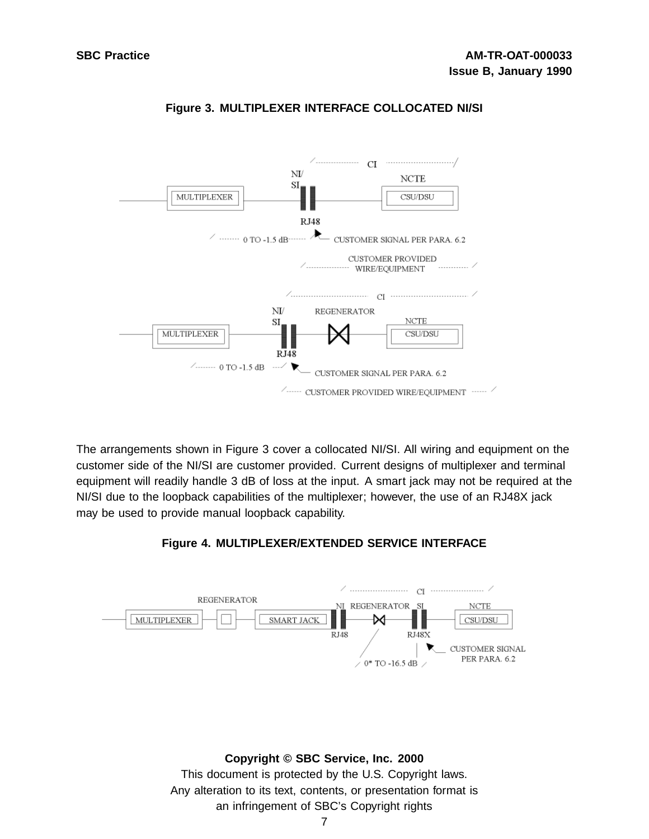

## **Figure 3. MULTIPLEXER INTERFACE COLLOCATED NI/SI**

The arrangements shown in Figure 3 cover a collocated NI/SI. All wiring and equipment on the customer side of the NI/SI are customer provided. Current designs of multiplexer and terminal equipment will readily handle 3 dB of loss at the input. A smart jack may not be required at the NI/SI due to the loopback capabilities of the multiplexer; however, the use of an RJ48X jack may be used to provide manual loopback capability.





#### **Copyright © SBC Service, Inc. 2000**